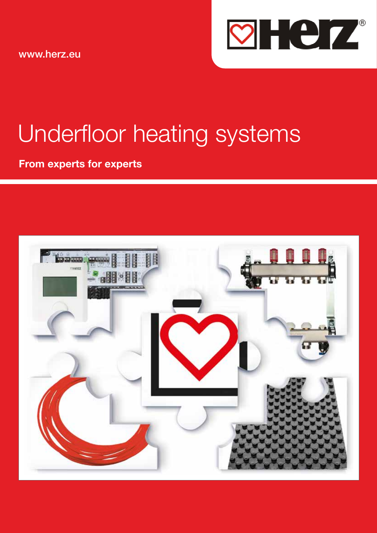www.herz.eu



# Underfloor heating systems

From experts for experts

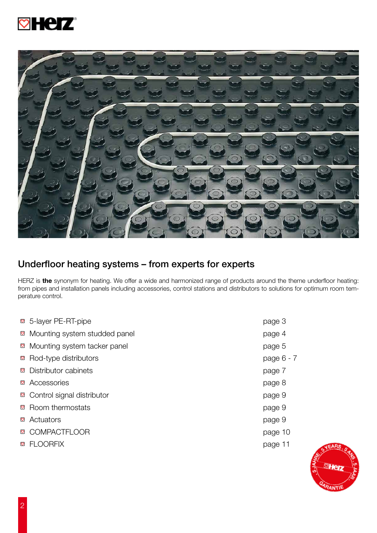



# Underfloor heating systems – from experts for experts

HERZ is the synonym for heating. We offer a wide and harmonized range of products around the theme underfloor heating: from pipes and installation panels including accessories, control stations and distributors to solutions for optimum room temperature control.

|          | ⊠ 5-layer PE-RT-pipe             | page 3     |
|----------|----------------------------------|------------|
|          | ⊠ Mounting system studded panel  | page 4     |
|          | ⊠ Mounting system tacker panel   | page 5     |
|          | ⊠ Rod-type distributors          | page 6 - 7 |
|          | <b>sqrt</b> Distributor cabinets | page 7     |
|          | ⊠ Accessories                    | page 8     |
|          | ⊠ Control signal distributor     | page 9     |
|          | <b>⊠</b> Room thermostats        | page 9     |
| $\circ$  | Actuators                        | page 9     |
| $\circ$  | <b>COMPACTFLOOR</b>              | page 10    |
| $\infty$ | <b>FLOORFIX</b>                  | page 11    |
|          |                                  |            |

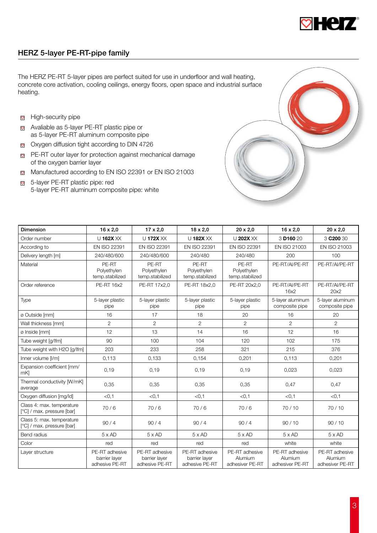

# HERZ 5-layer PE-RT-pipe family

The HERZ PE-RT 5-layer pipes are perfect suited for use in underfloor and wall heating, concrete core activation, cooling ceilings, energy floors, open space and industrial surface heating.

- **B** High-security pipe
- Avaliable as 5-layer PE-RT plastic pipe or as 5-layer PE-RT aluminum composite pipe
- Oxygen diffusion tight according to DIN 4726
- **PE-RT** outer layer for protection against mechanical damage of the oxygen barrier layer
- Manufactured according to EN ISO 22391 or EN ISO 21003
- 5-layer PE-RT plastic pipe: red 5-layer PE-RT aluminum composite pipe: white



| <b>Dimension</b>                                        | $16 \times 2,0$                                   | $17 \times 2,0$                                   | $18 \times 2,0$                                   | $20 \times 2,0$                              | $16 \times 2,0$                              | $20 \times 2,0$                              |
|---------------------------------------------------------|---------------------------------------------------|---------------------------------------------------|---------------------------------------------------|----------------------------------------------|----------------------------------------------|----------------------------------------------|
| Order number                                            | U 162X XX                                         | U 172X XX                                         | U 182X XX                                         | U 202X XX                                    | 3 D <sub>160</sub> 20                        | 3 C <sub>200</sub> 30                        |
| According to                                            | <b>EN ISO 22391</b>                               | <b>EN ISO 22391</b>                               | EN ISO 22391                                      | <b>EN ISO 22391</b>                          | EN ISO 21003                                 | EN ISO 21003                                 |
| Delivery length [m]                                     | 240/480/600                                       | 240/480/600                                       | 240/480                                           | 240/480                                      | 200                                          | 100                                          |
| Material                                                | PE-RT<br>Polyethylen<br>temp.stabilized           | PE-RT<br>Polyethylen<br>temp.stabilized           | PE-RT<br>Polyethylen<br>temp.stabilized           | PE-RT<br>Polyethylen<br>temp.stabilized      | PE-RT/AI/PE-RT                               | PE-RT/AI/PE-RT                               |
| Order reference                                         | <b>PE-RT 16x2</b>                                 | PE-RT 17x2,0                                      | PE-RT 18x2,0                                      | PE-RT 20x2,0                                 | PE-RT/AI/PE-RT<br>16x2                       | PE-RT/AI/PE-RT<br>20x2                       |
| Type                                                    | 5-layer plastic<br>pipe                           | 5-layer plastic<br>pipe                           | 5-layer plastic<br>pipe                           | 5-layer plastic<br>pipe                      | 5-layer aluminum<br>composite pipe           | 5-layer aluminum<br>composite pipe           |
| ø Outside [mm]                                          | 16                                                | 17                                                | 18                                                | 20                                           | 16                                           | 20                                           |
| Wall thickness [mm]                                     | $\overline{2}$                                    | $\overline{2}$                                    | $\overline{2}$                                    | $\overline{2}$                               | $\overline{2}$                               | $\overline{2}$                               |
| ø Inside [mm]                                           | 12                                                | 13                                                | 14                                                | 16                                           | 12                                           | 16                                           |
| Tube weight [g/lfm]                                     | 90                                                | 100                                               | 104                                               | 120                                          | 102                                          | 175                                          |
| Tube weight with H2O [g/lfm]                            | 203                                               | 233                                               | 258                                               | 321                                          | 215                                          | 376                                          |
| Inner volume [I/m]                                      | 0,113                                             | 0,133                                             | 0,154                                             | 0,201                                        | 0,113                                        | 0,201                                        |
| Expansion coefficient [mm/<br>mK]                       | 0,19                                              | 0,19                                              | 0,19                                              | 0,19                                         | 0,023                                        | 0,023                                        |
| Thermal conductivity [W/mK]<br>average                  | 0,35                                              | 0,35                                              | 0,35                                              | 0,35                                         | 0,47                                         | 0,47                                         |
| Oxygen diffusion [mg/ld]                                | < 0.1                                             | < 0.1                                             | < 0.1                                             | < 0.1                                        | < 0.1                                        | < 0.1                                        |
| Class 4: max. temperature<br>[°C] / max. pressure [bar] | 70/6                                              | 70/6                                              | 70/6                                              | 70/6                                         | 70/10                                        | 70/10                                        |
| Class 5: max. temperature<br>[°C] / max. pressure [bar] | 90/4                                              | 90/4                                              | 90/4                                              | 90/4                                         | 90/10                                        | 90/10                                        |
| <b>Bend radius</b>                                      | $5 \times AD$                                     | $5 \times AD$                                     | $5 \times AD$                                     | $5 \times AD$                                | $5 \times AD$                                | $5 \times AD$                                |
| Color                                                   | red                                               | red                                               | red                                               | red                                          | white                                        | white                                        |
| Layer structure                                         | PE-RT adhesive<br>barrier layer<br>adhesive PE-RT | PE-RT adhesive<br>barrier layer<br>adhesive PE-RT | PE-RT adhesive<br>barrier layer<br>adhesive PE-RT | PE-RT adhesive<br>Alumium<br>adhesiver PE-RT | PE-RT adhesive<br>Alumium<br>adhesiver PE-RT | PE-RT adhesive<br>Alumium<br>adhesiver PE-RT |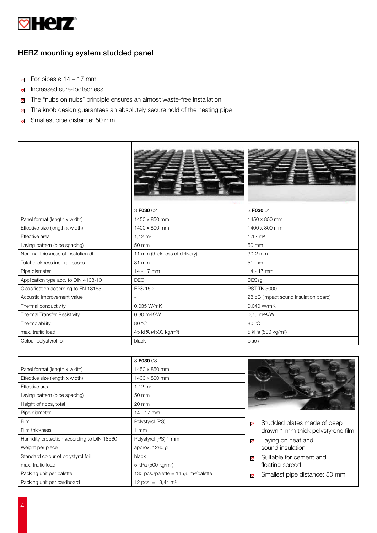

# HERZ mounting system studded panel

- For pipes  $\varnothing$  14 17 mm
- **Increased sure-footedness**
- The "nubs on nubs" principle ensures an almost waste-free installation  $\circ$
- The knob design guarantees an absolutely secure hold of the heating pipe  $\heartsuit$
- Smallest pipe distance: 50 mm  $\ddot{\circ}$

|                                      | 3 F030 02                        | 3 F030 01                             |
|--------------------------------------|----------------------------------|---------------------------------------|
| Panel format (length x width)        | 1450 x 850 mm                    | 1450 x 850 mm                         |
| Effective size (length x width)      | 1400 x 800 mm                    | 1400 x 800 mm                         |
| Effective area                       | $1,12 \, \text{m}^2$             | $1,12 \, \text{m}^2$                  |
| Laying pattern (pipe spacing)        | 50 mm                            | 50 mm                                 |
| Nominal thickness of insulation dL   | 11 mm (thickness of delivery)    | 30-2 mm                               |
| Total thickness incl. rail bases     | 31 mm                            | 51 mm                                 |
| Pipe diameter                        | $14 - 17$ mm                     | 14 - 17 mm                            |
| Application type acc. to DIN 4108-10 | <b>DEO</b>                       | <b>DESsg</b>                          |
| Classification according to EN 13163 | <b>EPS 150</b>                   | <b>PST-TK 5000</b>                    |
| Acoustic Improvement Value           | $\overline{\phantom{a}}$         | 28 dB (Impact sound insulation board) |
| Thermal conductivity                 | 0.035 W/mK                       | 0,040 W/mK                            |
| Thermal Transfer Resistivity         | 0,30 m <sup>2</sup> K/W          | 0,75 m <sup>2</sup> K/W               |
| Thermolability                       | 80 °C                            | 80 °C                                 |
| max. traffic load                    | 45 kPA (4500 kg/m <sup>2</sup> ) | 5 kPa (500 kg/m <sup>2</sup> )        |
| Colour polystyrol foil               | black                            | black                                 |

|                                            | 3 F030 03                                        |                                          |
|--------------------------------------------|--------------------------------------------------|------------------------------------------|
| Panel format (length x width)              | 1450 x 850 mm                                    |                                          |
| Effective size (length x width)            | 1400 x 800 mm                                    |                                          |
| Effective area                             | $1,12 \, \text{m}^2$                             |                                          |
| Laying pattern (pipe spacing)              | 50 mm                                            |                                          |
| Height of nops, total                      | $20 \text{ mm}$                                  |                                          |
| Pipe diameter                              | $14 - 17$ mm                                     |                                          |
| Film                                       | Polystyrol (PS)                                  | Studded plates made of deep<br>$\circ$   |
| Film thickness                             | mm                                               | drawn 1 mm thick polystyrene film        |
| Humidity protection according to DIN 18560 | Polystyrol (PS) 1 mm                             | Laying on heat and<br>$\circ$            |
| Weight per piece                           | approx. 1280 g                                   | sound insulation                         |
| Standard colour of polystyrol foil         | black                                            | Suitable for cement and<br>$\circ$       |
| max, traffic load                          | 5 kPa (500 kg/m <sup>2</sup> )                   | floating screed                          |
| Packing unit per palette                   | 130 pcs./palette = 145,6 m <sup>2</sup> /palette | Smallest pipe distance: 50 mm<br>$\circ$ |
| Packing unit per cardboard                 | 12 pcs. = $13,44$ m <sup>2</sup>                 |                                          |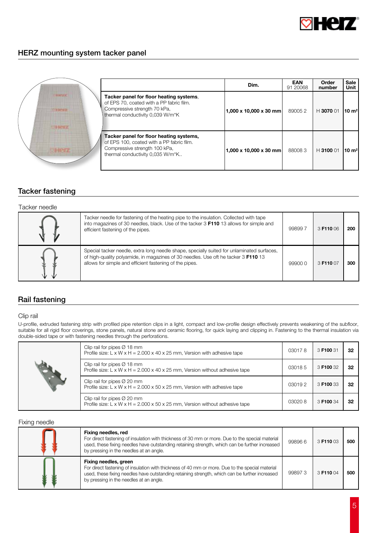

# HERZ mounting system tacker panel

|                         |                                                                                                                                                           | Dim.                   | <b>EAN</b><br>91 20068 | Order<br>number | <b>Sale</b><br>Unit |
|-------------------------|-----------------------------------------------------------------------------------------------------------------------------------------------------------|------------------------|------------------------|-----------------|---------------------|
| ■ 88° 区ズ<br>113-641-812 | Tacker panel for floor heating systems.<br>of EPS 70, coated with a PP fabric film.<br>Compressive strength 70 kPa,<br>thermal conductivity 0,039 W/m*K   | 1,000 x 10,000 x 30 mm | 890052                 | $H$ 3070 01     | $10 \text{ m}^2$    |
|                         | Tacker panel for floor heating systems,<br>of EPS 100, coated with a PP fabric film.<br>Compressive strength 100 kPa,<br>thermal conductivity 0,035 W/m*K | 1,000 x 10,000 x 30 mm | 880083                 | H 3100 01       | $10 \text{ m}^2$    |

# Tacker fastening

#### Tacker needle

|   | Tacker needle for fastening of the heating pipe to the insulation. Collected with tape<br>into magazines of 30 needles, black. Use of the tacker 3 F110 13 allows for simple and<br>efficient fastening of the pipes.                       | 998997 | 3 F110 06 | 200 |
|---|---------------------------------------------------------------------------------------------------------------------------------------------------------------------------------------------------------------------------------------------|--------|-----------|-----|
| T | Special tacker needle, extra long needle shape, specially suited for unlaminated surfaces,<br>of high-quality polyamide, in magazines of 30 needles. Use oft he tacker 3 F110 13<br>allows for simple and efficient fastening of the pipes. | 999000 | 3 F110 07 | 300 |

# Rail fastening

#### Clip rail

U-profile, extruded fastening strip with profiled pipe retention clips in a light, compact and low-profile design effectively prevents weakening of the subfloor, suitable for all rigid floor coverings, stone panels, natural stone and ceramic flooring, for quick laying and clipping in. Fastening to the thermal insulation via double-sided tape or with fastening needles through the perforations.

| Clip rail for pipes $\varnothing$ 18 mm<br>Profile size: L x W x H = $2.000$ x 40 x 25 mm, Version with adhesive tape                     |        | 3 F100 31 | 32 |
|-------------------------------------------------------------------------------------------------------------------------------------------|--------|-----------|----|
| Clip rail for pipes $\varnothing$ 18 mm<br>Profile size: L x W x H = $2.000$ x 40 x 25 mm, Version without adhesive tape                  | 030185 | 3 F100 32 | 32 |
| Clip rail for pipes $\varnothing$ 20 mm<br>Profile size: $L \times W \times H = 2.000 \times 50 \times 25$ mm, Version with adhesive tape | 030192 | 3 F100 33 | 32 |
| Clip rail for pipes $O$ 20 mm<br>Profile size: $L \times W \times H = 2.000 \times 50 \times 25$ mm, Version without adhesive tape        | 030208 | 3 F100 34 | 32 |

#### Fixing needle

| Fixing needles, red<br>For direct fastening of insulation with thickness of 30 mm or more. Due to the special material<br>used, these fixing needles have outstanding retaining strength, which can be further increased<br>by pressing in the needles at an angle.   | 998966 | 3 F110 03 | 500 |
|-----------------------------------------------------------------------------------------------------------------------------------------------------------------------------------------------------------------------------------------------------------------------|--------|-----------|-----|
| Fixing needles, green<br>For direct fastening of insulation with thickness of 40 mm or more. Due to the special material<br>used, these fixing needles have outstanding retaining strength, which can be further increased<br>by pressing in the needles at an angle. | 998973 | 3 F110 04 | 500 |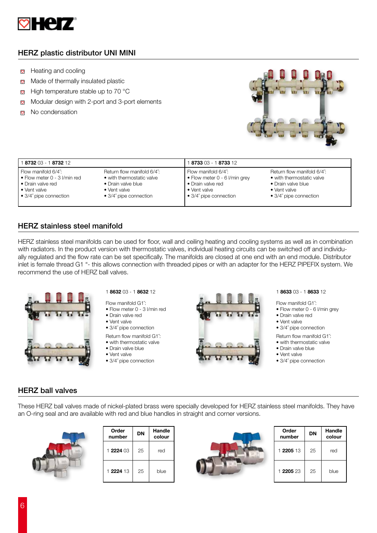

# HERZ plastic distributor UNI MINI

- Heating and cooling  $\circ$
- Made of thermally insulated plastic  $\circ$
- High temperature stable up to 70 °C  $\circ$
- Modular design with 2-port and 3-port elements  $\heartsuit$
- No condensation  $\circ$



| <b>8732</b> 03 - 1 <b>8732</b> 12    |                                | 8733 03 - 1 8733 12                |                                |  |
|--------------------------------------|--------------------------------|------------------------------------|--------------------------------|--|
| Flow manifold 6/4":                  | Return flow manifold 6/4":     | $\blacksquare$ Flow manifold 6/4": | Return flow manifold 6/4":     |  |
| $\bullet$ Flow meter 0 - 3 I/min red | • with thermostatic valve      | • Flow meter 0 - 6 I/min grey      | • with thermostatic valve      |  |
| • Drain valve red                    | • Drain valve blue             | • Drain valve red                  | • Drain valve blue             |  |
| • Vent valve                         | • Vent valve                   | $\bullet$ Vent valve               | • Vent valve                   |  |
| $\bullet$ 3/4" pipe connection       | $\bullet$ 3/4" pipe connection | 1 ● 3/4" pipe connection           | $\bullet$ 3/4" pipe connection |  |

# HERZ stainless steel manifold

HERZ stainless steel manifolds can be used for floor, wall and ceiling heating and cooling systems as well as in combination with radiators. In the product version with thermostatic valves, individual heating circuits can be switched off and individually regulated and the flow rate can be set specifically. The manifolds are closed at one end with an end module. Distributor inlet is female thread G1 "- this allows connection with threaded pipes or with an adapter for the HERZ PIPEFIX system. We recommend the use of HERZ ball valves.



- Flow manifold G1˝:
- Flow meter 0 3 l/min red
- Drain valve red • Vent valve
- 3/4˝ pipe connection
- Return flow manifold G1˝:
- with thermostatic valve
- Drain valve blue
- Vent valve
- 3/4˝ pipe connection



Flow manifold G1˝:

- Flow meter 0 6 l/min grey
- Drain valve red
- Vent valve
- 3/4˝ pipe connection
- Return flow manifold G1˝:
- with thermostatic valve
- Drain valve blue • Vent valve
- 
- 3/4˝ pipe connection

## HERZ ball valves

These HERZ ball valves made of nickel-plated brass were specially developed for HERZ stainless steel manifolds. They have an O-ring seal and are available with red and blue handles in straight and corner versions.



| Order<br>number | DN | Handle<br>colour |
|-----------------|----|------------------|
| 1 2224 03       | 25 | red              |
| 1 2224 13       | 25 | blue             |



| Order<br>number | DN | Handle<br>colour |
|-----------------|----|------------------|
| 1 2205 13       | 25 | red              |
| 1 2205 23       | 25 | blue             |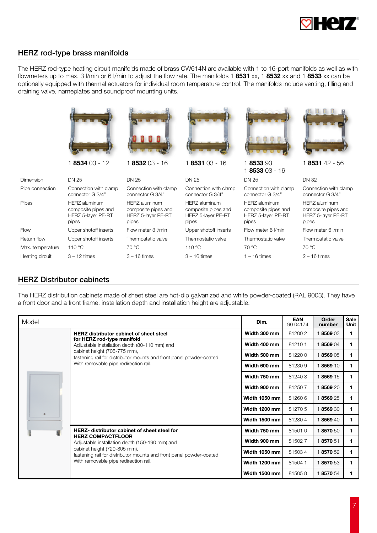

# HERZ rod-type brass manifolds

The HERZ rod-type heating circuit manifolds made of brass CW614N are available with 1 to 16-port manifolds as well as with flowmeters up to max. 3 l/min or 6 l/min to adjust the flow rate. The manifolds 1 8531 xx, 1 8532 xx and 1 8533 xx can be optionally equipped with thermal actuators for individual room temperature control. The manifolds include venting, filling and draining valve, nameplates and soundproof mounting units.

|                  | 1 8534 03 - 12                                                             | 1853203-16                                                                        | 1853103-16                                                          | 1853393<br>1 8533 03 - 16                                                         | 1 8531 42 - 56                                                                    |
|------------------|----------------------------------------------------------------------------|-----------------------------------------------------------------------------------|---------------------------------------------------------------------|-----------------------------------------------------------------------------------|-----------------------------------------------------------------------------------|
| <b>Dimension</b> | <b>DN 25</b>                                                               | DN 25                                                                             | DN 25                                                               | <b>DN 25</b>                                                                      | DN 32                                                                             |
| Pipe connection  | Connection with clamp<br>connector G 3/4"                                  | Connection with clamp<br>connector G 3/4"                                         | Connection with clamp<br>connector G 3/4"                           | Connection with clamp<br>connector G 3/4"                                         | Connection with clamp<br>connector G 3/4"                                         |
| <b>Pipes</b>     | <b>HERZ</b> aluminum<br>composite pipes and<br>HERZ 5-layer PE-RT<br>pipes | <b>HERZ</b> aluminum<br>composite pipes and<br><b>HERZ 5-layer PE-RT</b><br>pipes | HERZ aluminum<br>composite pipes and<br>HERZ 5-layer PE-RT<br>pipes | <b>HERZ</b> aluminum<br>composite pipes and<br><b>HERZ 5-layer PE-RT</b><br>pipes | <b>HERZ</b> aluminum<br>composite pipes and<br><b>HERZ 5-layer PE-RT</b><br>pipes |
| Flow             | Upper shotoff inserts                                                      | Flow meter 3 I/min                                                                | Upper shotoff inserts                                               | Flow meter 6 I/min                                                                | Flow meter 6 I/min                                                                |
| Return flow      | Upper shotoff inserts                                                      | Thermostatic valve                                                                | Thermostatic valve                                                  | Thermostatic valve                                                                | Thermostatic valve                                                                |
| Max. temperature | 110 °C                                                                     | 70 °C                                                                             | 110 °C                                                              | 70 °C                                                                             | 70 °C                                                                             |
| Heating circuit  | $3 - 12$ times                                                             | $3 - 16$ times                                                                    | $3 - 16$ times                                                      | $1 - 16$ times                                                                    | $2 - 16$ times                                                                    |

### HERZ Distributor cabinets

The HERZ distribution cabinets made of sheet steel are hot-dip galvanized and white powder-coated (RAL 9003). They have a front door and a front frame, installation depth and installation height are adjustable.

| Model |                                                                                                                                                                                                                                                                                    | Dim.          | <b>EAN</b><br>90 04174 | Order<br>number | <b>Sale</b><br>Unit |
|-------|------------------------------------------------------------------------------------------------------------------------------------------------------------------------------------------------------------------------------------------------------------------------------------|---------------|------------------------|-----------------|---------------------|
|       | <b>HERZ</b> distributor cabinet of sheet steel<br>for HERZ rod-type manifold<br>Adjustable installation depth (80-110 mm) and                                                                                                                                                      | Width 300 mm  | 812002                 | 1856903         |                     |
|       |                                                                                                                                                                                                                                                                                    | Width 400 mm  | 812101                 | 1856904         | 1.                  |
|       | cabinet height (705-775 mm),<br>fastening rail for distributor mounts and front panel powder-coated.                                                                                                                                                                               | Width 500 mm  | 812200                 | 1856905         |                     |
|       | With removable pipe redirection rail.                                                                                                                                                                                                                                              | Width 600 mm  | 812309                 | 1856910         | 1.                  |
|       | <b>HERZ-</b> distributor cabinet of sheet steel for<br><b>HERZ COMPACTFLOOR</b><br>Adjustable installation depth (150-190 mm) and<br>cabinet height (720-805 mm),<br>fastening rail for distributor mounts and front panel powder-coated.<br>With removable pipe redirection rail. | Width 750 mm  | 812408                 | 1856915         | 1.                  |
|       |                                                                                                                                                                                                                                                                                    | Width 900 mm  | 812507                 | 1856920         |                     |
|       |                                                                                                                                                                                                                                                                                    | Width 1050 mm | 812606                 | 1856925         | 1.                  |
|       |                                                                                                                                                                                                                                                                                    | Width 1200 mm | 812705                 | 1856930         | 1.                  |
|       |                                                                                                                                                                                                                                                                                    | Width 1500 mm | 812804                 | 1856940         | 1.                  |
|       |                                                                                                                                                                                                                                                                                    | Width 750 mm  | 815010                 | 1857050         | 1.                  |
|       |                                                                                                                                                                                                                                                                                    | Width 900 mm  | 815027                 | 1857051         | 1.                  |
|       |                                                                                                                                                                                                                                                                                    | Width 1050 mm | 815034                 | 1857052         |                     |
|       |                                                                                                                                                                                                                                                                                    | Width 1200 mm | 815041                 | 1857053         | 1.                  |
|       |                                                                                                                                                                                                                                                                                    | Width 1500 mm | 815058                 | 1857054         |                     |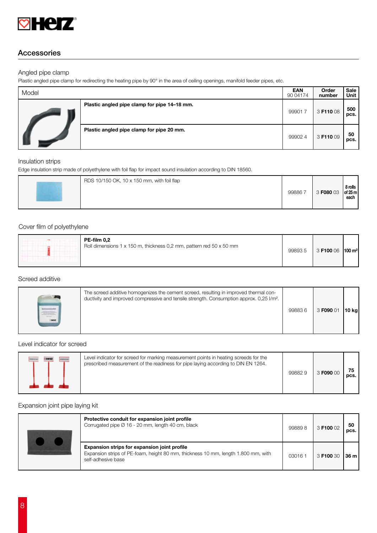

# Accessories

#### Angled pipe clamp

Plastic angled pipe clamp for redirecting the heating pipe by 90° in the area of ceiling openings, manifold feeder pipes, etc.

| Model |                                              | <b>EAN</b><br>90 04174 | Order<br>number | Sale<br>Unit |
|-------|----------------------------------------------|------------------------|-----------------|--------------|
|       | Plastic angled pipe clamp for pipe 14–18 mm. | 999017                 | 3 F110 08       | 500<br>pcs.  |
|       | Plastic angled pipe clamp for pipe 20 mm.    | 999024                 | 3 F110 09       | 50<br>pcs.   |

#### Insulation strips

Edge insulation strip made of polyethylene with foil flap for impact sound insulation according to DIN 18560.

| RDS 10/150 OK, 10 x 150 mm, with foil flap<br>998867 | 3 F080 03 | 8 rolls<br>of 25 m<br>each |
|------------------------------------------------------|-----------|----------------------------|
|------------------------------------------------------|-----------|----------------------------|

#### Cover film of polyethylene

|  | PE-film 0,2<br>Roll dimensions 1 x 150 m, thickness 0,2 mm, pattern red 50 x 50 mm | 998935 | $3$ F100 06   100 m <sup>2</sup> |  |
|--|------------------------------------------------------------------------------------|--------|----------------------------------|--|
|--|------------------------------------------------------------------------------------|--------|----------------------------------|--|

#### Screed additive

| The screed additive homogenizes the cement screed, resulting in improved thermal con-<br>ductivity and improved compressive and tensile strength. Consumption approx. 0,25 l/m <sup>2</sup> . | 998836 | 3 F090 01 | 10 kg |
|-----------------------------------------------------------------------------------------------------------------------------------------------------------------------------------------------|--------|-----------|-------|
|-----------------------------------------------------------------------------------------------------------------------------------------------------------------------------------------------|--------|-----------|-------|

## Level indicator for screed

|  | Level indicator for screed for marking measurement points in heating screeds for the<br>prescribed measurement of the readiness for pipe laying according to DIN EN 1264. | 998829 | 3 F090 OC | pcs. |
|--|---------------------------------------------------------------------------------------------------------------------------------------------------------------------------|--------|-----------|------|
|--|---------------------------------------------------------------------------------------------------------------------------------------------------------------------------|--------|-----------|------|

#### Expansion joint pipe laying kit

| Protective conduit for expansion joint profile<br>Corrugated pipe Ø 16 - 20 mm, length 40 cm, black                                                            | 998898 | 3 F100 02 | 50<br>DCS. |
|----------------------------------------------------------------------------------------------------------------------------------------------------------------|--------|-----------|------------|
| <b>Expansion strips for expansion joint profile</b><br>Expansion strips of PE-foam, height 80 mm, thickness 10 mm, length 1.800 mm, with<br>self-adhesive base | 030161 | 3 F100 30 | 36 m l     |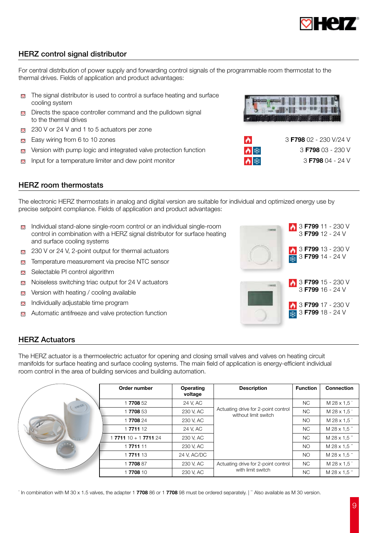

# HERZ control signal distributor

For central distribution of power supply and forwarding control signals of the programmable room thermostat to the thermal drives. Fields of application and product advantages:

- The signal distributor is used to control a surface heating and surface  $\circ$ cooling system
- Directs the space controller command and the pulldown signal  $\circ$ to the thermal drives
- $\sqrt{230}$  V or 24 V and 1 to 5 actuators per zone
- Easy wiring from 6 to 10 zones  $\circ$
- Version with pump logic and integrated valve protection function  $\circ$
- Input for a temperature limiter and dew point monitor  $\circ$

| $\triangleright$ | 3 F798 02 - 230 V/24 V |
|------------------|------------------------|
| ∧ 举              | $3$ F798 03 - 230 V    |
| ∧ 举              | 3 F798 $04 - 24$ V     |

# HERZ room thermostats

The electronic HERZ thermostats in analog and digital version are suitable for individual and optimized energy use by precise setpoint compliance. Fields of application and product advantages:

- $\Box$  Individual stand-alone single-room control or an individual single-room control in combination with a HERZ signal distributor for surface heating and surface cooling systems
- 
- Temperature measurement via precise NTC sensor  $\heartsuit$
- Selectable PI control algorithm  $\heartsuit$
- $\circ$ Noiseless switching triac output for 24 V actuators 3 **F799 15 - 230 V** 3 **F799 15 - 230 V**
- $\heartsuit$ Version with heating / cooling available
- Individually adjustable time program  $\heartsuit$
- Automatic antifreeze and valve protection function  $\circ$



### HERZ Actuators

The HERZ actuator is a thermoelectric actuator for opening and closing small valves and valves on heating circuit manifolds for surface heating and surface cooling systems. The main field of application is energy-efficient individual room control in the area of building services and building automation.

| Order number       | Operating<br>voltage | <b>Description</b>                                          | <b>Function</b> | <b>Connection</b> |
|--------------------|----------------------|-------------------------------------------------------------|-----------------|-------------------|
| 1770852            | 24 V, AC             |                                                             | NC.             | M 28 x 1.5        |
| 1770853            | 230 V, AC            | Actuating drive for 2-point control<br>without limit switch | <b>NC</b>       | M 28 x 1.5        |
| 1770824            | 230 V, AC            |                                                             | <b>NO</b>       | M 28 x 1.5        |
| 1771112            | 24 V, AC             |                                                             | <b>NC</b>       | M 28 x 1.5"       |
| $771110 + 1771124$ | 230 V, AC            |                                                             | NC.             | M 28 x 1.5"       |
| 1771111            | 230 V, AC            |                                                             | N <sub>O</sub>  | M 28 x 1.5"       |
| 1 7711 13          | 24 V, AC/DC          |                                                             | <b>NO</b>       | M 28 x 1.5"       |
| 1770887            | 230 V, AC            | Actuating drive for 2-point control                         | NC.             | M 28 x 1.5        |
| 1770810            | 230 V, AC            | with limit switch                                           | <b>NC</b>       | M 28 x 1.5"       |

' In combination with M 30 x 1.5 valves, the adapter 1 7708 86 or 1 7708 98 must be ordered separately. | "Also available as M 30 version.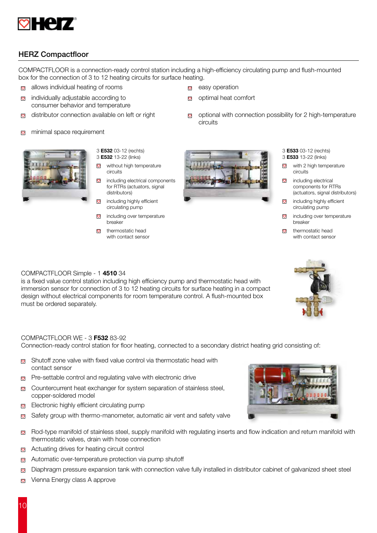

# HERZ Compactfloor

COMPACTFLOOR is a connection-ready control station including a high-efficiency circulating pump and flush-mounted box for the connection of 3 to 12 heating circuits for surface heating.

 $\circ$ 

- $\Box$  allows individual heating of rooms
- individually adjustable according to  $\circ$ consumer behavior and temperature
- distributor connection available on left or right  $\Box$  optional with connection possibility for 2 high-temperature  $\circ$
- minimal space requirement  $\circ$



- 3 E532 03-12 (rechts) 3 E532 13-22 (links)
- $\circ$ without high temperature circuits
- $\circ$ including electrical components for RTRs (actuators, signal distributors)
- $\circ$ including highly efficient circulating pump
- including over temperature  $\circ$ breaker
- $\heartsuit$  thermostatic head with contact sensor



optimal heat comfort

circuits

- 3 E533 03-12 (rechts)
- 3 E533 13-22 (links)
- with 2 high temperature  $\circ$ circuits
- $\circ$ including electrical components for RTRs (actuators, signal distributors)
- $\circ$ including highly efficient circulating pump
- $\circ$ including over temperature breaker
- $\circ$ thermostatic head with contact sensor

#### COMPACTFLOOR Simple - 1 4510 34

is a fixed value control station including high efficiency pump and thermostatic head with immersion sensor for connection of 3 to 12 heating circuits for surface heating in a compact design without electrical components for room temperature control. A flush-mounted box must be ordered separately.

#### COMPACTFLOOR WE - 3 F532 83-92

Connection-ready control station for floor heating, connected to a secondary district heating grid consisting of:

- Shutoff zone valve with fixed value control via thermostatic head with  $\circ$ contact sensor
- Pre-settable control and regulating valve with electronic drive  $\heartsuit$
- Countercurrent heat exchanger for system separation of stainless steel,  $\circ$ copper-soldered model
- Electronic highly efficient circulating pump  $\circ$
- Safety group with thermo-manometer, automatic air vent and safety valve  $\circ$
- Rod-type manifold of stainless steel, supply manifold with regulating inserts and flow indication and return manifold with  $\heartsuit$ thermostatic valves, drain with hose connection
- $\heartsuit$ Actuating drives for heating circuit control
- Automatic over-temperature protection via pump shutoff  $\heartsuit$
- Diaphragm pressure expansion tank with connection valve fully installed in distributor cabinet of galvanized sheet steel  $\heartsuit$
- $\heartsuit$ Vienna Energy class A approve

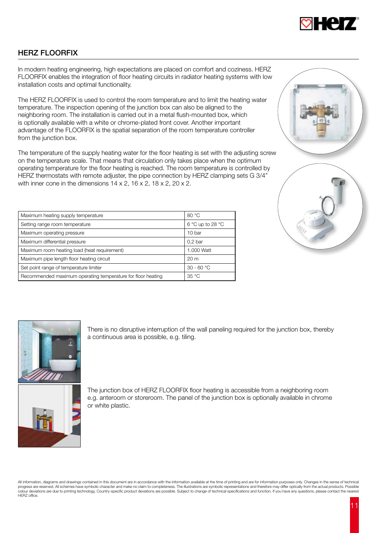

# HERZ FLOORFIX

In modern heating engineering, high expectations are placed on comfort and coziness. HERZ FLOORFIX enables the integration of floor heating circuits in radiator heating systems with low installation costs and optimal functionality.

The HERZ FLOORFIX is used to control the room temperature and to limit the heating water temperature. The inspection opening of the junction box can also be aligned to the neighboring room. The installation is carried out in a metal flush-mounted box, which is optionally available with a white or chrome-plated front cover. Another important advantage of the FLOORFIX is the spatial separation of the room temperature controller from the junction box.

The temperature of the supply heating water for the floor heating is set with the adjusting screw on the temperature scale. That means that circulation only takes place when the optimum operating temperature for the floor heating is reached. The room temperature is controlled by HERZ thermostats with remote adjuster, the pipe connection by HERZ clamping sets G 3/4" with inner cone in the dimensions  $14 \times 2$ ,  $16 \times 2$ ,  $18 \times 2$ ,  $20 \times 2$ .

| Maximum heating supply temperature                          | 80 °C              |
|-------------------------------------------------------------|--------------------|
| Setting range room temperature                              | 6 °C up to 28 °C   |
| Maximum operating pressure                                  | 10 <sub>bar</sub>  |
| Maximum differential pressure                               | 0.2 <sub>bar</sub> |
| Maximum room heating load (heat requirement)                | 1.000 Watt         |
| Maximum pipe length floor heating circuit                   | 20 <sub>m</sub>    |
| Set point range of temperature limiter                      | $30 - 60 °C$       |
| Recommended maximum operating temperature for floor heating | 35 °C              |





There is no disruptive interruption of the wall paneling required for the junction box, thereby a continuous area is possible, e.g. tiling.



The junction box of HERZ FLOORFIX floor heating is accessible from a neighboring room e.g. anteroom or storeroom. The panel of the junction box is optionally available in chrome or white plastic.

All information, diagrams and drawings contained in this document are in accordance with the information available at the time of printing and are for information purposes only. Changes in the sense of technical<br>progress a colour deviations are due to printing technology. Country-specific product deviations are possible. Subject to change of technical specifications and function. If you have any questions, please contact the nearest HERZ office.